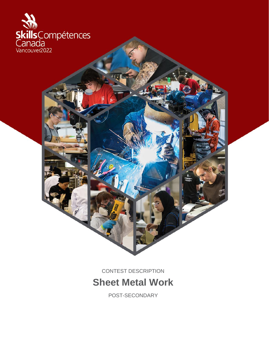

CONTEST DESCRIPTION **Sheet Metal Work**

POST-SECONDARY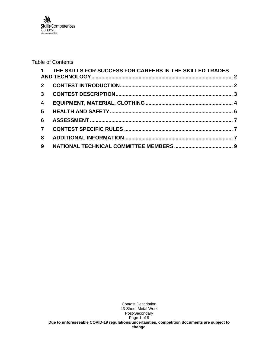

### Table of Contents

|                | 1 THE SKILLS FOR SUCCESS FOR CAREERS IN THE SKILLED TRADES |  |
|----------------|------------------------------------------------------------|--|
|                |                                                            |  |
|                |                                                            |  |
| $\overline{4}$ |                                                            |  |
| 5 <sup>5</sup> |                                                            |  |
| 6              |                                                            |  |
| $\overline{7}$ |                                                            |  |
| 8              |                                                            |  |
| $9^{\circ}$    |                                                            |  |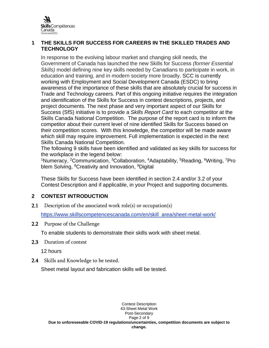

### <span id="page-2-0"></span>**1 THE SKILLS FOR SUCCESS FOR CAREERS IN THE SKILLED TRADES AND TECHNOLOGY**

In response to the evolving labour market and changing skill needs, the Government of Canada has launched the new Skills for Success *(former Essential Skills)* model defining nine key skills needed by Canadians to participate in work, in education and training, and in modern society more broadly. SCC is currently working with Employment and Social Development Canada (ESDC) to bring awareness of the importance of these skills that are absolutely crucial for success in Trade and Technology careers. Part of this ongoing initiative requires the integration and identification of the Skills for Success in contest descriptions, projects, and project documents. The next phase and very important aspect of our Skills for Success (SfS) initiative is to provide a *Skills Report Card* to each competitor at the Skills Canada National Competition. The purpose of the report card is to inform the competitor about their current level of nine identified Skills for Success based on their competition scores. With this knowledge, the competitor will be made aware which skill may require improvement. Full implementation is expected in the next Skills Canada National Competition.

The following 9 skills have been identified and validated as key skills for success for the workplace in the legend below:

<sup>1</sup>Numeracy, <sup>2</sup>Communication, <sup>3</sup>Collaboration, <sup>4</sup>Adaptability, <sup>5</sup>Reading, <sup>6</sup>Writing, <sup>7</sup>Pro blem Solving, <sup>8</sup>Creativity and Innovation, <sup>9</sup>Digital

These Skills for Success have been identified in section 2.4 and/or 3.2 of your Contest Description and if applicable, in your Project and supporting documents.

# <span id="page-2-1"></span>**2 CONTEST INTRODUCTION**

2.1 Description of the associated work role(s) or occupation(s)

[https://www.skillscompetencescanada.com/en/skill\\_area/sheet-metal-work/](https://www.skillscompetencescanada.com/en/skill_area/sheet-metal-work/)

2.2 Purpose of the Challenge

To enable students to demonstrate their skills work with sheet metal.

2.3 Duration of contest

12 hours

2.4 Skills and Knowledge to be tested.

Sheet metal layout and fabrication skills will be tested.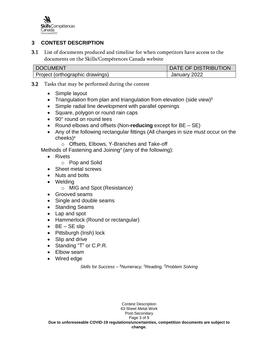

# <span id="page-3-0"></span>**3 CONTEST DESCRIPTION**

3.1 List of documents produced and timeline for when competitors have access to the documents on the Skills/Compétences Canada website

| <b>DOCUMENT</b>                 | DATE OF DISTRIBUTION |
|---------------------------------|----------------------|
| Project (orthographic drawings) | January 2022         |

3.2 Tasks that may be performed during the contest

- Simple layout
- Triangulation from plan and triangulation from elevation (side view)*<sup>5</sup>*
- Simple radial line development with parallel openings
- Square, polygon or round rain caps
- 90° round on round tees
- Round elbows and offsets (Non**-reducing** except for BE SE)
- Any of the following rectangular fittings (All changes in size must occur on the cheeks)*<sup>1</sup>*
	- o Offsets, Elbows, Y-Branches and Take-off

Methods of Fastening and Joining*<sup>7</sup>* (any of the following):

- Rivets
	- o Pop and Solid
- Sheet metal screws
- Nuts and bolts
- Welding
	- o MIG and Spot (Resistance)
- Grooved seams
- Single and double seams
- Standing Seams
- Lap and spot
- Hammerlock (Round or rectangular)
- $\bullet$  BE SE slip
- Pittsburgh (Irish) lock
- Slip and drive
- Standing "T" or C.P.R.
- Elbow seam
- Wired edge

*Skills for Success – <sup>1</sup>Numeracy, <sup>5</sup>Reading, <sup>7</sup>Problem Solving*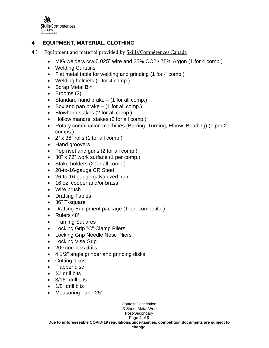

# <span id="page-4-0"></span>**4 EQUIPMENT, MATERIAL, CLOTHING**

- 4.1 Equipment and material provided by Skills/Compétences Canada
	- MIG welders c/w 0.025" wire and 25% CO2 / 75% Argon (1 for 4 comp.)
	- Welding Curtains
	- Flat metal table for welding and grinding (1 for 4 comp.)
	- Welding helmets (1 for 4 comp.)
	- Scrap Metal Bin
	- Brooms (2)
	- Standard hand brake  $-$  (1 for all comp.)
	- Box and pan brake  $-$  (1 for all comp.)
	- Blowhorn stakes (2 for all comp.)
	- Hollow mandrel stakes (2 for all comp.)
	- Rotary combination machines (Burring, Turning, Elbow, Beading) (1 per 2 comps.)
	- 2" x 36" rolls (1 for all comp.)
	- Hand groovers
	- Pop rivet and guns (2 for all comp.)
	- 30" x 72" work surface (1 per comp.)
	- Stake holders (2 for all comp.)
	- 20-to-16-gauge CR Steel
	- 26-to-16-gauge galvanized iron
	- 16 oz. cooper and/or brass
	- Wire brush
	- Drafting Tables
	- 36" T-square
	- Drafting Equipment package (1 per competitor)
	- Rulers 48"
	- Framing Squares
	- Locking Grip "C" Clamp Pliers
	- Locking Grip Needle Nose Pliers
	- Locking Vise Grip
	- 20v cordless drills
	- 4 1/2" angle grinder and grinding disks
	- Cutting discs
	- Flapper disc
	- $\bullet$   $\frac{1}{4}$ " drill bits
	- 3/16" drill bits
	- 1/8" drill bits
	- Measuring Tape 25'

Contest Description 43-Sheet Metal Work Post-Secondary Page 4 of 9 **Due to unforeseeable COVID-19 regulations/uncertainties, competition documents are subject to change.**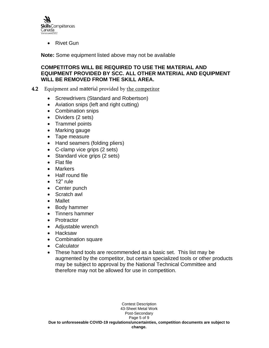

• Rivet Gun

**Note:** Some equipment listed above may not be available

### **COMPETITORS WILL BE REQUIRED TO USE THE MATERIAL AND EQUIPMENT PROVIDED BY SCC. ALL OTHER MATERIAL AND EQUIPMENT WILL BE REMOVED FROM THE SKILL AREA.**

- 4.2 Equipment and material provided by the competitor
	- Screwdrivers (Standard and Robertson)
	- Aviation snips (left and right cutting)
	- Combination snips
	- Dividers (2 sets)
	- Trammel points
	- Marking gauge
	- Tape measure
	- Hand seamers (folding pliers)
	- C-clamp vice grips (2 sets)
	- Standard vice grips (2 sets)
	- Flat file
	- Markers
	- Half round file
	- 12" rule
	- Center punch
	- Scratch awl
	- Mallet
	- Body hammer
	- Tinners hammer
	- Protractor
	- Adjustable wrench
	- Hacksaw
	- Combination square
	- Calculator
	- These hand tools are recommended as a basic set. This list may be augmented by the competitor, but certain specialized tools or other products may be subject to approval by the National Technical Committee and therefore may not be allowed for use in competition.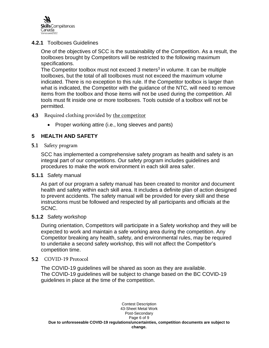

### **4.2.1** Toolboxes Guidelines

One of the objectives of SCC is the sustainability of the Competition. As a result, the toolboxes brought by Competitors will be restricted to the following maximum specifications.

The Competitor toolbox must not exceed 3 meters<sup>3</sup> in volume. It can be multiple toolboxes, but the total of all toolboxes must not exceed the maximum volume indicated. There is no exception to this rule. If the Competitor toolbox is larger than what is indicated, the Competitor with the guidance of the NTC, will need to remove items from the toolbox and those items will not be used during the competition. All tools must fit inside one or more toolboxes. Tools outside of a toolbox will not be permitted.

#### 4.3 Required clothing provided by the competitor

• Proper working attire (i.e., long sleeves and pants)

# <span id="page-6-0"></span>**5 HEALTH AND SAFETY**

#### 5.1 Safety program

SCC has implemented a comprehensive safety program as health and safety is an integral part of our competitions. Our safety program includes guidelines and procedures to make the work environment in each skill area safer.

#### **5.1.1** Safety manual

As part of our program a safety manual has been created to monitor and document health and safety within each skill area. It includes a definite plan of action designed to prevent accidents. The safety manual will be provided for every skill and these instructions must be followed and respected by all participants and officials at the SCNC.

#### **5.1.2** Safety workshop

During orientation, Competitors will participate in a Safety workshop and they will be expected to work and maintain a safe working area during the competition. Any Competitor breaking any health, safety, and environmental rules, may be required to undertake a second safety workshop, this will not affect the Competitor's competition time.

#### 5.2 COVID-19 Protocol

The COVID-19 guidelines will be shared as soon as they are available. The COVID-19 guidelines will be subject to change based on the BC COVID-19 guidelines in place at the time of the competition.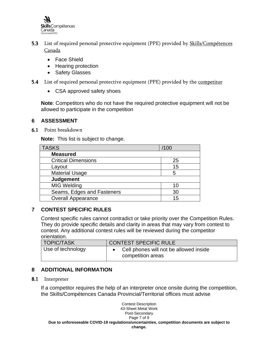

- 5.3 List of required personal protective equipment (PPE) provided by **Skills/Compétences** Canada
	- Face Shield
	- Hearing protection
	- Safety Glasses
- **5.4** List of required personal protective equipment (PPE) provided by the competitor
	- CSA approved safety shoes

**Note**: Competitors who do not have the required protective equipment will not be allowed to participate in the competition

### <span id="page-7-0"></span>**6 ASSESSMENT**

6.1 Point breakdown

**Note:** This list is subject to change.

| <b>TASKS</b>               | /100 |
|----------------------------|------|
| <b>Measured</b>            |      |
| <b>Critical Dimensions</b> | 25   |
| Layout                     | 15   |
| <b>Material Usage</b>      | 5    |
| <b>Judgement</b>           |      |
| <b>MIG Welding</b>         |      |
| Seams, Edges and Fasteners | 30   |
| <b>Overall Appearance</b>  | 15   |

# <span id="page-7-1"></span>**7 CONTEST SPECIFIC RULES**

Contest specific rules cannot contradict or take priority over the Competition Rules. They do provide specific details and clarity in areas that may vary from contest to contest. Any additional contest rules will be reviewed during the competitor orientation.

| <b>TOPIC/TASK</b> | CONTEST SPECIFIC RULE                                       |
|-------------------|-------------------------------------------------------------|
| Use of technology | Cell phones will not be allowed inside<br>competition areas |

# <span id="page-7-2"></span>**8 ADDITIONAL INFORMATION**

8.1 Interpreter

If a competitor requires the help of an interpreter once onsite during the competition, the Skills/Compétences Canada Provincial/Territorial offices must advise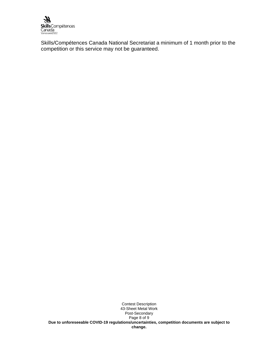

Skills/Compétences Canada National Secretariat a minimum of 1 month prior to the competition or this service may not be guaranteed.